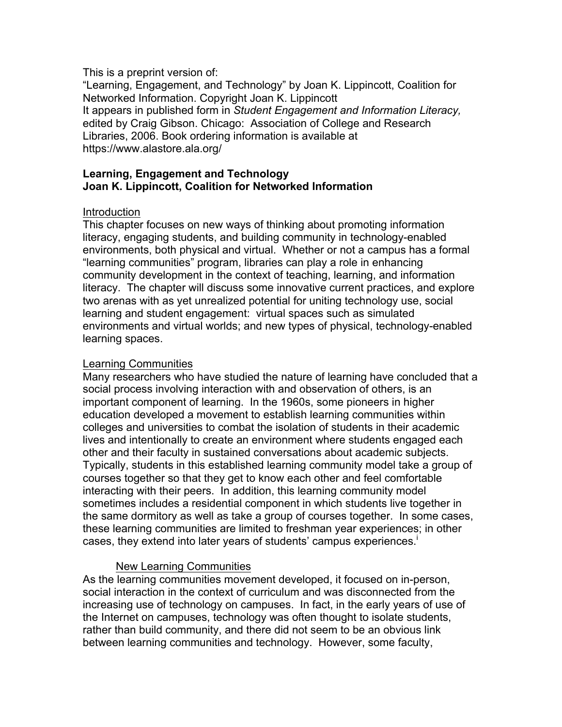#### This is a preprint version of:

"Learning, Engagement, and Technology" by Joan K. Lippincott, Coalition for Networked Information. Copyright Joan K. Lippincott It appears in published form in *Student Engagement and Information Literacy,* edited by Craig Gibson. Chicago: Association of College and Research Libraries, 2006. Book ordering information is available at https://www.alastore.ala.org/

### **Learning, Engagement and Technology Joan K. Lippincott, Coalition for Networked Information**

### Introduction

This chapter focuses on new ways of thinking about promoting information literacy, engaging students, and building community in technology-enabled environments, both physical and virtual. Whether or not a campus has a formal "learning communities" program, libraries can play a role in enhancing community development in the context of teaching, learning, and information literacy. The chapter will discuss some innovative current practices, and explore two arenas with as yet unrealized potential for uniting technology use, social learning and student engagement: virtual spaces such as simulated environments and virtual worlds; and new types of physical, technology-enabled learning spaces.

#### Learning Communities

Many researchers who have studied the nature of learning have concluded that a social process involving interaction with and observation of others, is an important component of learning. In the 1960s, some pioneers in higher education developed a movement to establish learning communities within colleges and universities to combat the isolation of students in their academic lives and intentionally to create an environment where students engaged each other and their faculty in sustained conversations about academic subjects. Typically, students in this established learning community model take a group of courses together so that they get to know each other and feel comfortable interacting with their peers. In addition, this learning community model sometimes includes a residential component in which students live together in the same dormitory as well as take a group of courses together. In some cases, these learning communities are limited to freshman year experiences; in other cases, they extend into later years of students' campus experiences.

# New Learning Communities

As the learning communities movement developed, it focused on in-person, social interaction in the context of curriculum and was disconnected from the increasing use of technology on campuses. In fact, in the early years of use of the Internet on campuses, technology was often thought to isolate students, rather than build community, and there did not seem to be an obvious link between learning communities and technology. However, some faculty,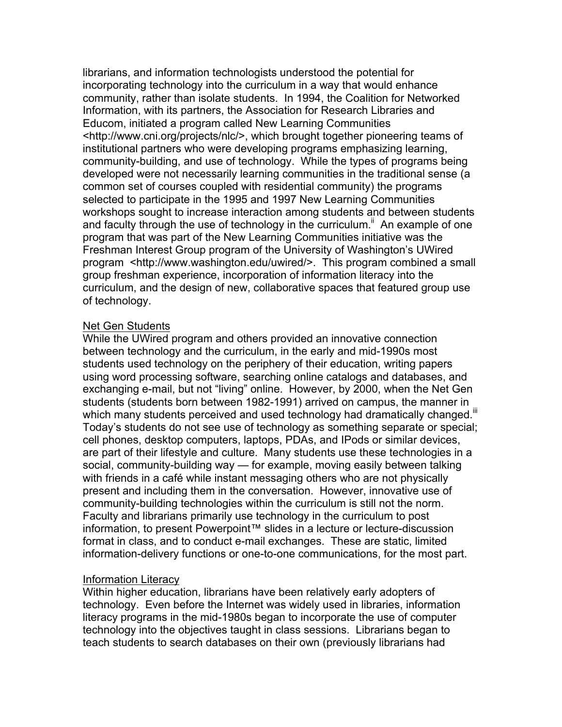librarians, and information technologists understood the potential for incorporating technology into the curriculum in a way that would enhance community, rather than isolate students. In 1994, the Coalition for Networked Information, with its partners, the Association for Research Libraries and Educom, initiated a program called New Learning Communities <http://www.cni.org/projects/nlc/>, which brought together pioneering teams of institutional partners who were developing programs emphasizing learning, community-building, and use of technology. While the types of programs being developed were not necessarily learning communities in the traditional sense (a common set of courses coupled with residential community) the programs selected to participate in the 1995 and 1997 New Learning Communities workshops sought to increase interaction among students and between students and faculty through the use of technology in the curriculum.<sup> $ii$ </sup> An example of one program that was part of the New Learning Communities initiative was the Freshman Interest Group program of the University of Washington's UWired program <http://www.washington.edu/uwired/>. This program combined a small group freshman experience, incorporation of information literacy into the curriculum, and the design of new, collaborative spaces that featured group use of technology.

#### Net Gen Students

While the UWired program and others provided an innovative connection between technology and the curriculum, in the early and mid-1990s most students used technology on the periphery of their education, writing papers using word processing software, searching online catalogs and databases, and exchanging e-mail, but not "living" online. However, by 2000, when the Net Gen students (students born between 1982-1991) arrived on campus, the manner in which many students perceived and used technology had dramatically changed.<sup>iii</sup> Today's students do not see use of technology as something separate or special; cell phones, desktop computers, laptops, PDAs, and IPods or similar devices, are part of their lifestyle and culture. Many students use these technologies in a social, community-building way — for example, moving easily between talking with friends in a café while instant messaging others who are not physically present and including them in the conversation. However, innovative use of community-building technologies within the curriculum is still not the norm. Faculty and librarians primarily use technology in the curriculum to post information, to present Powerpoint™ slides in a lecture or lecture-discussion format in class, and to conduct e-mail exchanges. These are static, limited information-delivery functions or one-to-one communications, for the most part.

# Information Literacy

Within higher education, librarians have been relatively early adopters of technology. Even before the Internet was widely used in libraries, information literacy programs in the mid-1980s began to incorporate the use of computer technology into the objectives taught in class sessions. Librarians began to teach students to search databases on their own (previously librarians had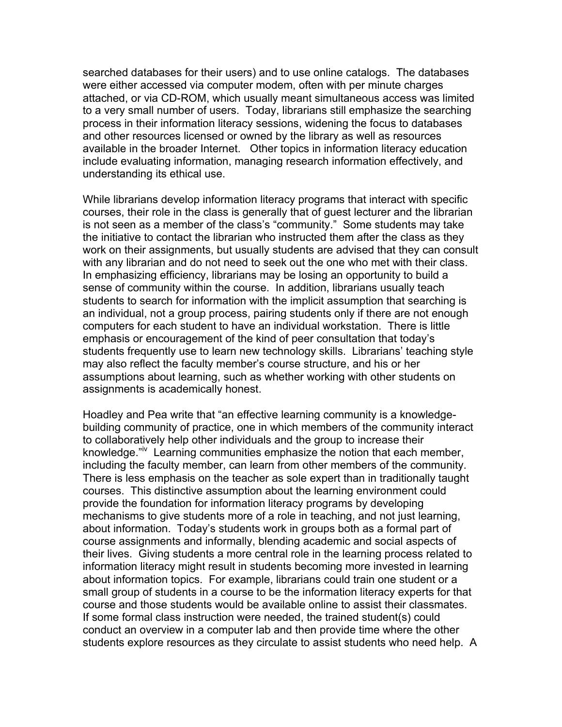searched databases for their users) and to use online catalogs. The databases were either accessed via computer modem, often with per minute charges attached, or via CD-ROM, which usually meant simultaneous access was limited to a very small number of users. Today, librarians still emphasize the searching process in their information literacy sessions, widening the focus to databases and other resources licensed or owned by the library as well as resources available in the broader Internet. Other topics in information literacy education include evaluating information, managing research information effectively, and understanding its ethical use.

While librarians develop information literacy programs that interact with specific courses, their role in the class is generally that of guest lecturer and the librarian is not seen as a member of the class's "community." Some students may take the initiative to contact the librarian who instructed them after the class as they work on their assignments, but usually students are advised that they can consult with any librarian and do not need to seek out the one who met with their class. In emphasizing efficiency, librarians may be losing an opportunity to build a sense of community within the course. In addition, librarians usually teach students to search for information with the implicit assumption that searching is an individual, not a group process, pairing students only if there are not enough computers for each student to have an individual workstation. There is little emphasis or encouragement of the kind of peer consultation that today's students frequently use to learn new technology skills. Librarians' teaching style may also reflect the faculty member's course structure, and his or her assumptions about learning, such as whether working with other students on assignments is academically honest.

Hoadley and Pea write that "an effective learning community is a knowledgebuilding community of practice, one in which members of the community interact to collaboratively help other individuals and the group to increase their knowledge."<sup>iv</sup> Learning communities emphasize the notion that each member, including the faculty member, can learn from other members of the community. There is less emphasis on the teacher as sole expert than in traditionally taught courses. This distinctive assumption about the learning environment could provide the foundation for information literacy programs by developing mechanisms to give students more of a role in teaching, and not just learning, about information. Today's students work in groups both as a formal part of course assignments and informally, blending academic and social aspects of their lives. Giving students a more central role in the learning process related to information literacy might result in students becoming more invested in learning about information topics. For example, librarians could train one student or a small group of students in a course to be the information literacy experts for that course and those students would be available online to assist their classmates. If some formal class instruction were needed, the trained student(s) could conduct an overview in a computer lab and then provide time where the other students explore resources as they circulate to assist students who need help. A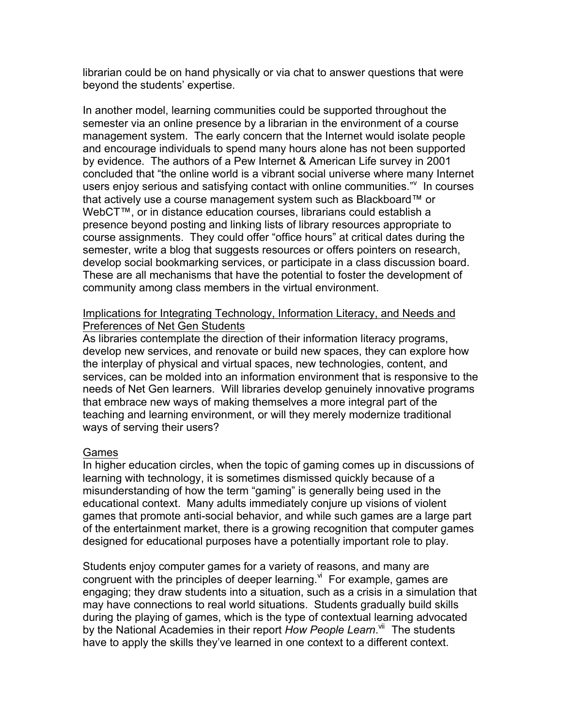librarian could be on hand physically or via chat to answer questions that were beyond the students' expertise.

In another model, learning communities could be supported throughout the semester via an online presence by a librarian in the environment of a course management system. The early concern that the Internet would isolate people and encourage individuals to spend many hours alone has not been supported by evidence. The authors of a Pew Internet & American Life survey in 2001 concluded that "the online world is a vibrant social universe where many Internet users enjoy serious and satisfying contact with online communities." In courses that actively use a course management system such as Blackboard™ or WebCT™, or in distance education courses, librarians could establish a presence beyond posting and linking lists of library resources appropriate to course assignments. They could offer "office hours" at critical dates during the semester, write a blog that suggests resources or offers pointers on research, develop social bookmarking services, or participate in a class discussion board. These are all mechanisms that have the potential to foster the development of community among class members in the virtual environment.

# Implications for Integrating Technology, Information Literacy, and Needs and Preferences of Net Gen Students

As libraries contemplate the direction of their information literacy programs, develop new services, and renovate or build new spaces, they can explore how the interplay of physical and virtual spaces, new technologies, content, and services, can be molded into an information environment that is responsive to the needs of Net Gen learners. Will libraries develop genuinely innovative programs that embrace new ways of making themselves a more integral part of the teaching and learning environment, or will they merely modernize traditional ways of serving their users?

# Games

In higher education circles, when the topic of gaming comes up in discussions of learning with technology, it is sometimes dismissed quickly because of a misunderstanding of how the term "gaming" is generally being used in the educational context. Many adults immediately conjure up visions of violent games that promote anti-social behavior, and while such games are a large part of the entertainment market, there is a growing recognition that computer games designed for educational purposes have a potentially important role to play.

Students enjoy computer games for a variety of reasons, and many are congruent with the principles of deeper learning. $\mathbf{v}$  For example, games are engaging; they draw students into a situation, such as a crisis in a simulation that may have connections to real world situations. Students gradually build skills during the playing of games, which is the type of contextual learning advocated by the National Academies in their report How People Learn.<sup>vii</sup> The students have to apply the skills they've learned in one context to a different context.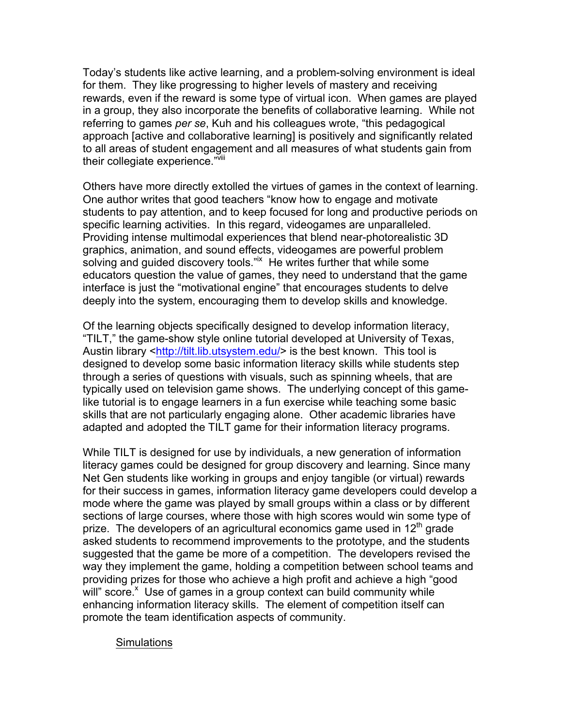Today's students like active learning, and a problem-solving environment is ideal for them. They like progressing to higher levels of mastery and receiving rewards, even if the reward is some type of virtual icon. When games are played in a group, they also incorporate the benefits of collaborative learning. While not referring to games *per se*, Kuh and his colleagues wrote, "this pedagogical approach [active and collaborative learning] is positively and significantly related to all areas of student engagement and all measures of what students gain from their collegiate experience."VIII

Others have more directly extolled the virtues of games in the context of learning. One author writes that good teachers "know how to engage and motivate students to pay attention, and to keep focused for long and productive periods on specific learning activities. In this regard, videogames are unparalleled. Providing intense multimodal experiences that blend near-photorealistic 3D graphics, animation, and sound effects, videogames are powerful problem solving and guided discovery tools."<sup>Ix</sup> He writes further that while some educators question the value of games, they need to understand that the game interface is just the "motivational engine" that encourages students to delve deeply into the system, encouraging them to develop skills and knowledge.

Of the learning objects specifically designed to develop information literacy, "TILT," the game-show style online tutorial developed at University of Texas, Austin library <http://tilt.lib.utsystem.edu/> is the best known. This tool is designed to develop some basic information literacy skills while students step through a series of questions with visuals, such as spinning wheels, that are typically used on television game shows. The underlying concept of this gamelike tutorial is to engage learners in a fun exercise while teaching some basic skills that are not particularly engaging alone. Other academic libraries have adapted and adopted the TILT game for their information literacy programs.

While TILT is designed for use by individuals, a new generation of information literacy games could be designed for group discovery and learning. Since many Net Gen students like working in groups and enjoy tangible (or virtual) rewards for their success in games, information literacy game developers could develop a mode where the game was played by small groups within a class or by different sections of large courses, where those with high scores would win some type of prize. The developers of an agricultural economics game used in  $12<sup>th</sup>$  grade asked students to recommend improvements to the prototype, and the students suggested that the game be more of a competition. The developers revised the way they implement the game, holding a competition between school teams and providing prizes for those who achieve a high profit and achieve a high "good will" score. $x$  Use of games in a group context can build community while enhancing information literacy skills. The element of competition itself can promote the team identification aspects of community.

# **Simulations**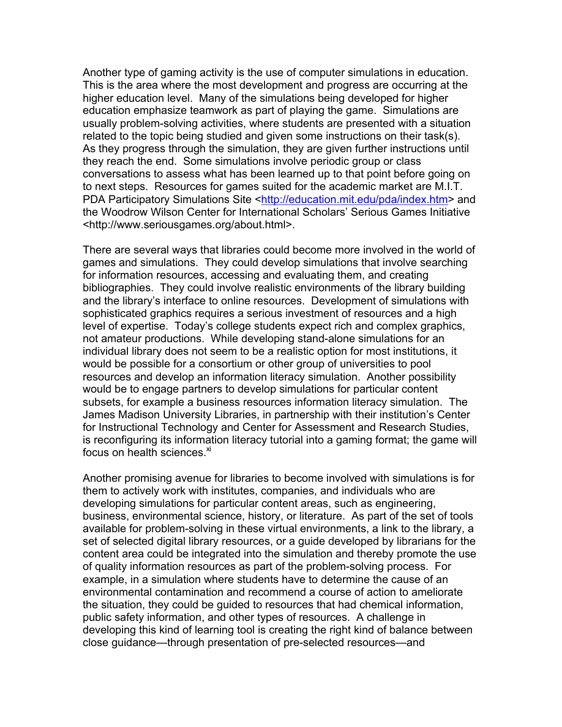Another type of gaming activity is the use of computer simulations in education. This is the area where the most development and progress are occurring at the higher education level. Many of the simulations being developed for higher education emphasize teamwork as part of playing the game. Simulations are usually problem-solving activities, where students are presented with a situation related to the topic being studied and given some instructions on their task(s). As they progress through the simulation, they are given further instructions until they reach the end. Some simulations involve periodic group or class conversations to assess what has been learned up to that point before going on to next steps. Resources for games suited for the academic market are M.I.T. PDA Participatory Simulations Site <http://education.mit.edu/pda/index.htm> and the Woodrow Wilson Center for International Scholars' Serious Games Initiative <http://www.seriousgames.org/about.html>.

There are several ways that libraries could become more involved in the world of games and simulations. They could develop simulations that involve searching for information resources, accessing and evaluating them, and creating bibliographies. They could involve realistic environments of the library building and the library's interface to online resources. Development of simulations with sophisticated graphics requires a serious investment of resources and a high level of expertise. Today's college students expect rich and complex graphics, not amateur productions. While developing stand-alone simulations for an individual library does not seem to be a realistic option for most institutions, it would be possible for a consortium or other group of universities to pool resources and develop an information literacy simulation. Another possibility would be to engage partners to develop simulations for particular content subsets, for example a business resources information literacy simulation. The James Madison University Libraries, in partnership with their institution's Center for Instructional Technology and Center for Assessment and Research Studies, is reconfiguring its information literacy tutorial into a gaming format; the game will focus on health sciences.<sup>xi</sup>

Another promising avenue for libraries to become involved with simulations is for them to actively work with institutes, companies, and individuals who are developing simulations for particular content areas, such as engineering, business, environmental science, history, or literature. As part of the set of tools available for problem-solving in these virtual environments, a link to the library, a set of selected digital library resources, or a guide developed by librarians for the content area could be integrated into the simulation and thereby promote the use of quality information resources as part of the problem-solving process. For example, in a simulation where students have to determine the cause of an environmental contamination and recommend a course of action to ameliorate the situation, they could be guided to resources that had chemical information, public safety information, and other types of resources. A challenge in developing this kind of learning tool is creating the right kind of balance between close guidance—through presentation of pre-selected resources—and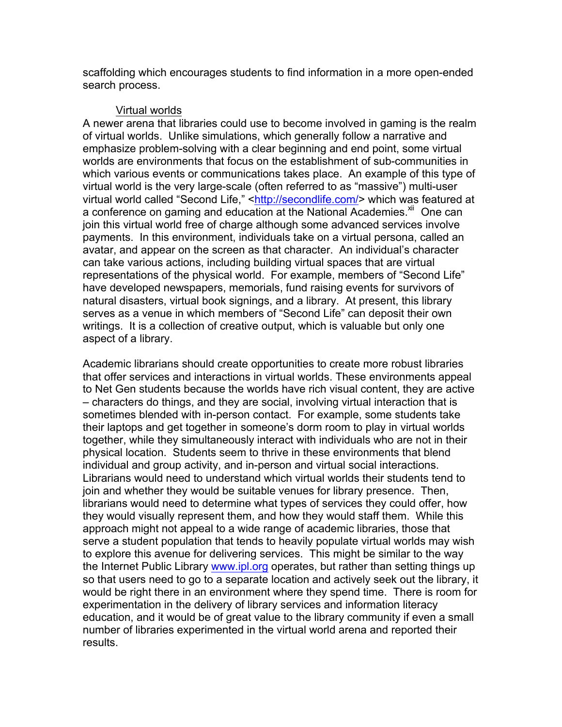scaffolding which encourages students to find information in a more open-ended search process.

### Virtual worlds

A newer arena that libraries could use to become involved in gaming is the realm of virtual worlds. Unlike simulations, which generally follow a narrative and emphasize problem-solving with a clear beginning and end point, some virtual worlds are environments that focus on the establishment of sub-communities in which various events or communications takes place. An example of this type of virtual world is the very large-scale (often referred to as "massive") multi-user virtual world called "Second Life," <http://secondlife.com/> which was featured at a conference on gaming and education at the National Academies.<sup>xii</sup> One can join this virtual world free of charge although some advanced services involve payments. In this environment, individuals take on a virtual persona, called an avatar, and appear on the screen as that character. An individual's character can take various actions, including building virtual spaces that are virtual representations of the physical world. For example, members of "Second Life" have developed newspapers, memorials, fund raising events for survivors of natural disasters, virtual book signings, and a library. At present, this library serves as a venue in which members of "Second Life" can deposit their own writings. It is a collection of creative output, which is valuable but only one aspect of a library.

Academic librarians should create opportunities to create more robust libraries that offer services and interactions in virtual worlds. These environments appeal to Net Gen students because the worlds have rich visual content, they are active – characters do things, and they are social, involving virtual interaction that is sometimes blended with in-person contact. For example, some students take their laptops and get together in someone's dorm room to play in virtual worlds together, while they simultaneously interact with individuals who are not in their physical location. Students seem to thrive in these environments that blend individual and group activity, and in-person and virtual social interactions. Librarians would need to understand which virtual worlds their students tend to join and whether they would be suitable venues for library presence. Then, librarians would need to determine what types of services they could offer, how they would visually represent them, and how they would staff them. While this approach might not appeal to a wide range of academic libraries, those that serve a student population that tends to heavily populate virtual worlds may wish to explore this avenue for delivering services. This might be similar to the way the Internet Public Library www.ipl.org operates, but rather than setting things up so that users need to go to a separate location and actively seek out the library, it would be right there in an environment where they spend time. There is room for experimentation in the delivery of library services and information literacy education, and it would be of great value to the library community if even a small number of libraries experimented in the virtual world arena and reported their results.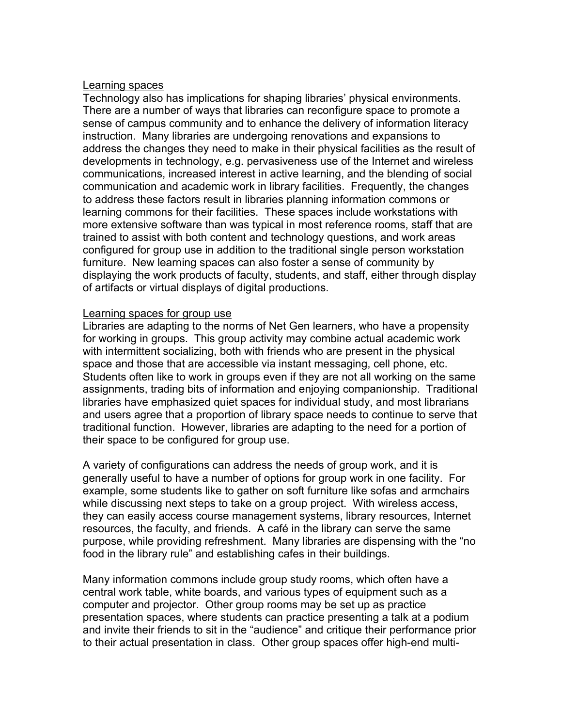#### Learning spaces

Technology also has implications for shaping libraries' physical environments. There are a number of ways that libraries can reconfigure space to promote a sense of campus community and to enhance the delivery of information literacy instruction. Many libraries are undergoing renovations and expansions to address the changes they need to make in their physical facilities as the result of developments in technology, e.g. pervasiveness use of the Internet and wireless communications, increased interest in active learning, and the blending of social communication and academic work in library facilities. Frequently, the changes to address these factors result in libraries planning information commons or learning commons for their facilities. These spaces include workstations with more extensive software than was typical in most reference rooms, staff that are trained to assist with both content and technology questions, and work areas configured for group use in addition to the traditional single person workstation furniture. New learning spaces can also foster a sense of community by displaying the work products of faculty, students, and staff, either through display of artifacts or virtual displays of digital productions.

### Learning spaces for group use

Libraries are adapting to the norms of Net Gen learners, who have a propensity for working in groups. This group activity may combine actual academic work with intermittent socializing, both with friends who are present in the physical space and those that are accessible via instant messaging, cell phone, etc. Students often like to work in groups even if they are not all working on the same assignments, trading bits of information and enjoying companionship. Traditional libraries have emphasized quiet spaces for individual study, and most librarians and users agree that a proportion of library space needs to continue to serve that traditional function. However, libraries are adapting to the need for a portion of their space to be configured for group use.

A variety of configurations can address the needs of group work, and it is generally useful to have a number of options for group work in one facility. For example, some students like to gather on soft furniture like sofas and armchairs while discussing next steps to take on a group project. With wireless access, they can easily access course management systems, library resources, Internet resources, the faculty, and friends. A café in the library can serve the same purpose, while providing refreshment. Many libraries are dispensing with the "no food in the library rule" and establishing cafes in their buildings.

Many information commons include group study rooms, which often have a central work table, white boards, and various types of equipment such as a computer and projector. Other group rooms may be set up as practice presentation spaces, where students can practice presenting a talk at a podium and invite their friends to sit in the "audience" and critique their performance prior to their actual presentation in class. Other group spaces offer high-end multi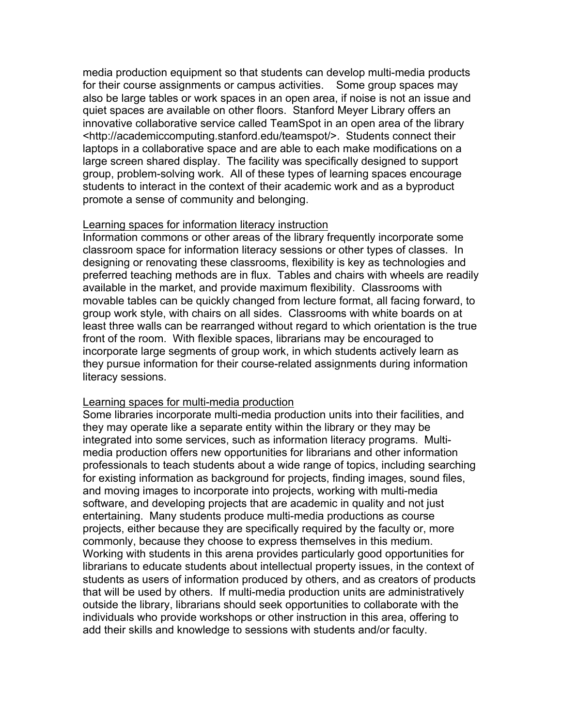media production equipment so that students can develop multi-media products for their course assignments or campus activities. Some group spaces may also be large tables or work spaces in an open area, if noise is not an issue and quiet spaces are available on other floors. Stanford Meyer Library offers an innovative collaborative service called TeamSpot in an open area of the library <http://academiccomputing.stanford.edu/teamspot/>. Students connect their laptops in a collaborative space and are able to each make modifications on a large screen shared display. The facility was specifically designed to support group, problem-solving work. All of these types of learning spaces encourage students to interact in the context of their academic work and as a byproduct promote a sense of community and belonging.

#### Learning spaces for information literacy instruction

Information commons or other areas of the library frequently incorporate some classroom space for information literacy sessions or other types of classes. In designing or renovating these classrooms, flexibility is key as technologies and preferred teaching methods are in flux. Tables and chairs with wheels are readily available in the market, and provide maximum flexibility. Classrooms with movable tables can be quickly changed from lecture format, all facing forward, to group work style, with chairs on all sides. Classrooms with white boards on at least three walls can be rearranged without regard to which orientation is the true front of the room. With flexible spaces, librarians may be encouraged to incorporate large segments of group work, in which students actively learn as they pursue information for their course-related assignments during information literacy sessions.

#### Learning spaces for multi-media production

Some libraries incorporate multi-media production units into their facilities, and they may operate like a separate entity within the library or they may be integrated into some services, such as information literacy programs. Multimedia production offers new opportunities for librarians and other information professionals to teach students about a wide range of topics, including searching for existing information as background for projects, finding images, sound files, and moving images to incorporate into projects, working with multi-media software, and developing projects that are academic in quality and not just entertaining. Many students produce multi-media productions as course projects, either because they are specifically required by the faculty or, more commonly, because they choose to express themselves in this medium. Working with students in this arena provides particularly good opportunities for librarians to educate students about intellectual property issues, in the context of students as users of information produced by others, and as creators of products that will be used by others. If multi-media production units are administratively outside the library, librarians should seek opportunities to collaborate with the individuals who provide workshops or other instruction in this area, offering to add their skills and knowledge to sessions with students and/or faculty.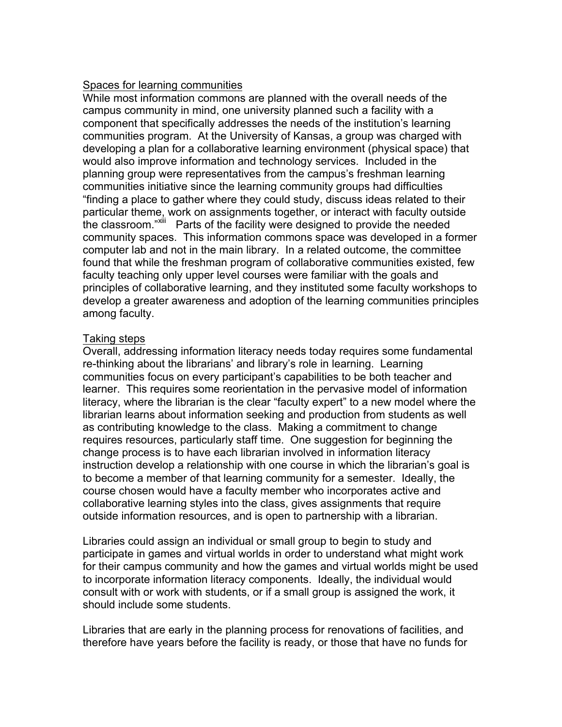# Spaces for learning communities

While most information commons are planned with the overall needs of the campus community in mind, one university planned such a facility with a component that specifically addresses the needs of the institution's learning communities program. At the University of Kansas, a group was charged with developing a plan for a collaborative learning environment (physical space) that would also improve information and technology services. Included in the planning group were representatives from the campus's freshman learning communities initiative since the learning community groups had difficulties "finding a place to gather where they could study, discuss ideas related to their particular theme, work on assignments together, or interact with faculty outside the classroom."xiii Parts of the facility were designed to provide the needed community spaces. This information commons space was developed in a former computer lab and not in the main library. In a related outcome, the committee found that while the freshman program of collaborative communities existed, few faculty teaching only upper level courses were familiar with the goals and principles of collaborative learning, and they instituted some faculty workshops to develop a greater awareness and adoption of the learning communities principles among faculty.

# Taking steps

Overall, addressing information literacy needs today requires some fundamental re-thinking about the librarians' and library's role in learning. Learning communities focus on every participant's capabilities to be both teacher and learner. This requires some reorientation in the pervasive model of information literacy, where the librarian is the clear "faculty expert" to a new model where the librarian learns about information seeking and production from students as well as contributing knowledge to the class. Making a commitment to change requires resources, particularly staff time. One suggestion for beginning the change process is to have each librarian involved in information literacy instruction develop a relationship with one course in which the librarian's goal is to become a member of that learning community for a semester. Ideally, the course chosen would have a faculty member who incorporates active and collaborative learning styles into the class, gives assignments that require outside information resources, and is open to partnership with a librarian.

Libraries could assign an individual or small group to begin to study and participate in games and virtual worlds in order to understand what might work for their campus community and how the games and virtual worlds might be used to incorporate information literacy components. Ideally, the individual would consult with or work with students, or if a small group is assigned the work, it should include some students.

Libraries that are early in the planning process for renovations of facilities, and therefore have years before the facility is ready, or those that have no funds for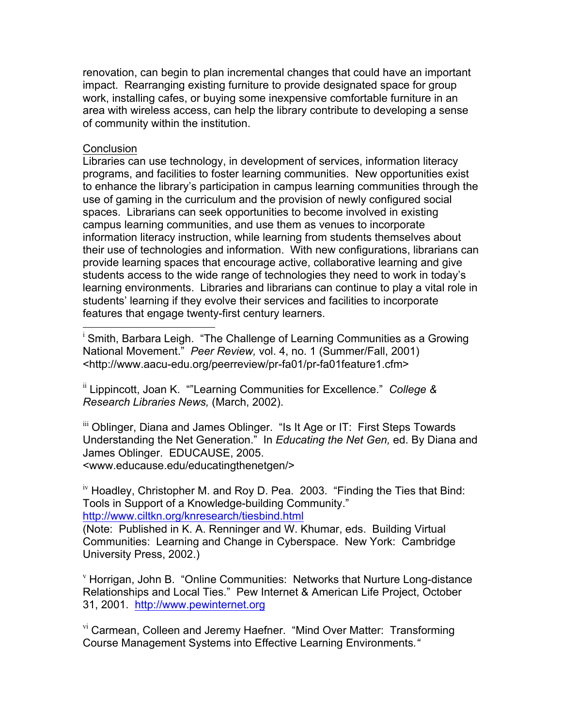renovation, can begin to plan incremental changes that could have an important impact. Rearranging existing furniture to provide designated space for group work, installing cafes, or buying some inexpensive comfortable furniture in an area with wireless access, can help the library contribute to developing a sense of community within the institution.

# **Conclusion**

Libraries can use technology, in development of services, information literacy programs, and facilities to foster learning communities. New opportunities exist to enhance the library's participation in campus learning communities through the use of gaming in the curriculum and the provision of newly configured social spaces. Librarians can seek opportunities to become involved in existing campus learning communities, and use them as venues to incorporate information literacy instruction, while learning from students themselves about their use of technologies and information. With new configurations, librarians can provide learning spaces that encourage active, collaborative learning and give students access to the wide range of technologies they need to work in today's learning environments. Libraries and librarians can continue to play a vital role in students' learning if they evolve their services and facilities to incorporate features that engage twenty-first century learners.

|<br>i <sup>i</sup> Smith, Barbara Leigh. "The Challenge of Learning Communities as a Growing National Movement." *Peer Review,* vol. 4, no. 1 (Summer/Fall, 2001) <http://www.aacu-edu.org/peerreview/pr-fa01/pr-fa01feature1.cfm>

ii Lippincott, Joan K. ""Learning Communities for Excellence." *College & Research Libraries News,* (March, 2002).

iii Oblinger, Diana and James Oblinger. "Is It Age or IT: First Steps Towards Understanding the Net Generation." In *Educating the Net Gen,* ed. By Diana and James Oblinger. EDUCAUSE, 2005.

<www.educause.edu/educatingthenetgen/>

 $\frac{1}{10}$  Hoadley, Christopher M. and Roy D. Pea. 2003. "Finding the Ties that Bind: Tools in Support of a Knowledge-building Community." http://www.ciltkn.org/knresearch/tiesbind.html

(Note: Published in K. A. Renninger and W. Khumar, eds. Building Virtual Communities: Learning and Change in Cyberspace. New York: Cambridge University Press, 2002.)

 $\rm v$  Horrigan, John B. "Online Communities: Networks that Nurture Long-distance Relationships and Local Ties." Pew Internet & American Life Project, October 31, 2001. http://www.pewinternet.org

<sup>vi</sup> Carmean, Colleen and Jeremy Haefner. "Mind Over Matter: Transforming Course Management Systems into Effective Learning Environments*."*